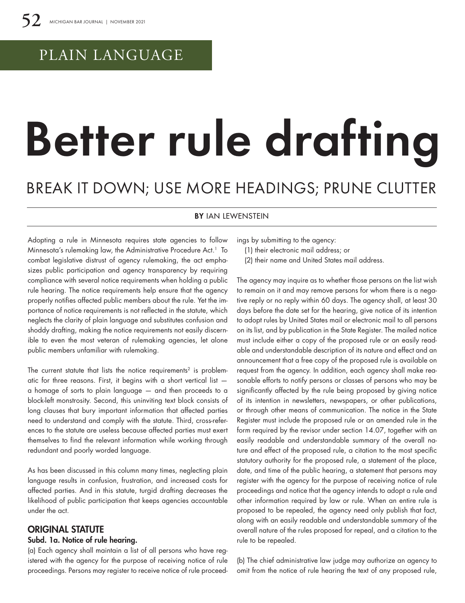# PLAIN LANGUAGE

# Better rule drafting

## BREAK IT DOWN; USE MORE HEADINGS; PRUNE CLUTTER

#### **BY IAN LEWENSTEIN**

Adopting a rule in Minnesota requires state agencies to follow Minnesota's rulemaking law, the Administrative Procedure Act.<sup>1</sup> To combat legislative distrust of agency rulemaking, the act emphasizes public participation and agency transparency by requiring compliance with several notice requirements when holding a public rule hearing. The notice requirements help ensure that the agency properly notifies affected public members about the rule. Yet the importance of notice requirements is not reflected in the statute, which neglects the clarity of plain language and substitutes confusion and shoddy drafting, making the notice requirements not easily discernible to even the most veteran of rulemaking agencies, let alone public members unfamiliar with rulemaking.

The current statute that lists the notice requirements<sup>2</sup> is problematic for three reasons. First, it begins with a short vertical list a homage of sorts to plain language — and then proceeds to a block-left monstrosity. Second, this uninviting text block consists of long clauses that bury important information that affected parties need to understand and comply with the statute. Third, cross-references to the statute are useless because affected parties must exert themselves to find the relevant information while working through redundant and poorly worded language.

As has been discussed in this column many times, neglecting plain language results in confusion, frustration, and increased costs for affected parties. And in this statute, turgid drafting decreases the likelihood of public participation that keeps agencies accountable under the act.

## ORIGINAL STATUTE

#### Subd. 1a. Notice of rule hearing.

(a) Each agency shall maintain a list of all persons who have registered with the agency for the purpose of receiving notice of rule proceedings. Persons may register to receive notice of rule proceedings by submitting to the agency:

- (1) their electronic mail address; or
- (2) their name and United States mail address.

The agency may inquire as to whether those persons on the list wish to remain on it and may remove persons for whom there is a negative reply or no reply within 60 days. The agency shall, at least 30 days before the date set for the hearing, give notice of its intention to adopt rules by United States mail or electronic mail to all persons on its list, and by publication in the State Register. The mailed notice must include either a copy of the proposed rule or an easily readable and understandable description of its nature and effect and an announcement that a free copy of the proposed rule is available on request from the agency. In addition, each agency shall make reasonable efforts to notify persons or classes of persons who may be significantly affected by the rule being proposed by giving notice of its intention in newsletters, newspapers, or other publications, or through other means of communication. The notice in the State Register must include the proposed rule or an amended rule in the form required by the revisor under section 14.07, together with an easily readable and understandable summary of the overall nature and effect of the proposed rule, a citation to the most specific statutory authority for the proposed rule, a statement of the place, date, and time of the public hearing, a statement that persons may register with the agency for the purpose of receiving notice of rule proceedings and notice that the agency intends to adopt a rule and other information required by law or rule. When an entire rule is proposed to be repealed, the agency need only publish that fact, along with an easily readable and understandable summary of the overall nature of the rules proposed for repeal, and a citation to the rule to be repealed.

(b) The chief administrative law judge may authorize an agency to omit from the notice of rule hearing the text of any proposed rule,